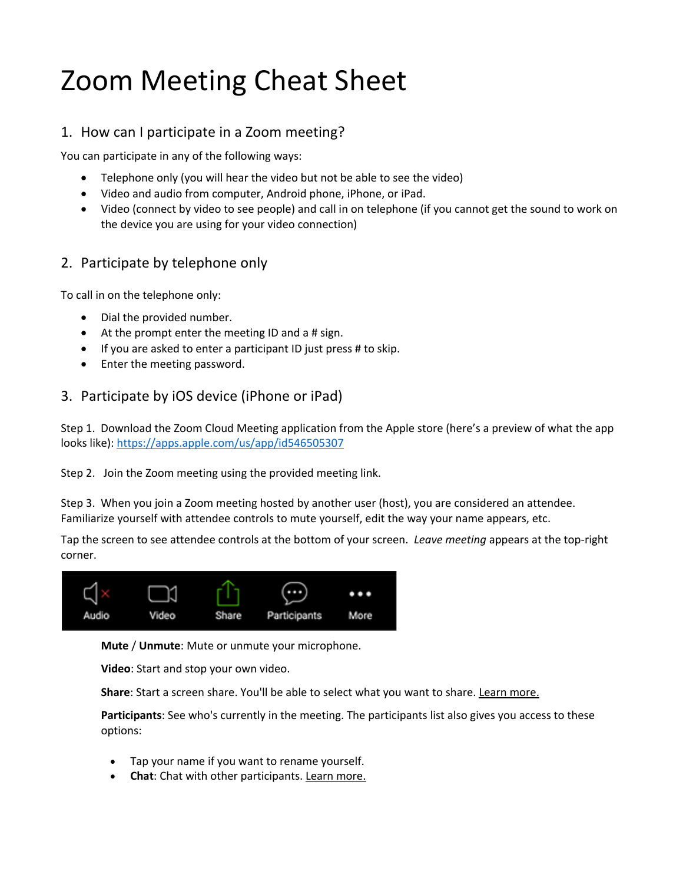# Zoom Meeting Cheat Sheet

## 1. How can I participate in a Zoom meeting?

You can participate in any of the following ways:

- Telephone only (you will hear the video but not be able to see the video)
- Video and audio from computer, Android phone, iPhone, or iPad.
- Video (connect by video to see people) and call in on telephone (if you cannot get the sound to work on the device you are using for your video connection)

## 2. Participate by telephone only

To call in on the telephone only:

- Dial the provided number.
- At the prompt enter the meeting ID and a # sign.
- If you are asked to enter a participant ID just press # to skip.
- Enter the meeting password.

### 3. Participate by iOS device (iPhone or iPad)

Step 1. Download the Zoom Cloud Meeting application from the Apple store (here's a preview of what the app looks like): https://apps.apple.com/us/app/id546505307

Step 2. Join the Zoom meeting using the provided meeting link.

Step 3. When you join a Zoom meeting hosted by another user (host), you are considered an attendee. Familiarize yourself with attendee controls to mute yourself, edit the way your name appears, etc.

Tap the screen to see attendee controls at the bottom of your screen. *Leave meeting* appears at the top-right corner.



**Mute** / **Unmute**: Mute or unmute your microphone.

**Video**: Start and stop your own video.

**Share**: Start a screen share. You'll be able to select what you want to share. Learn more.

**Participants**: See who's currently in the meeting. The participants list also gives you access to these options:

- Tap your name if you want to rename yourself.
- **Chat**: Chat with other participants. Learn more.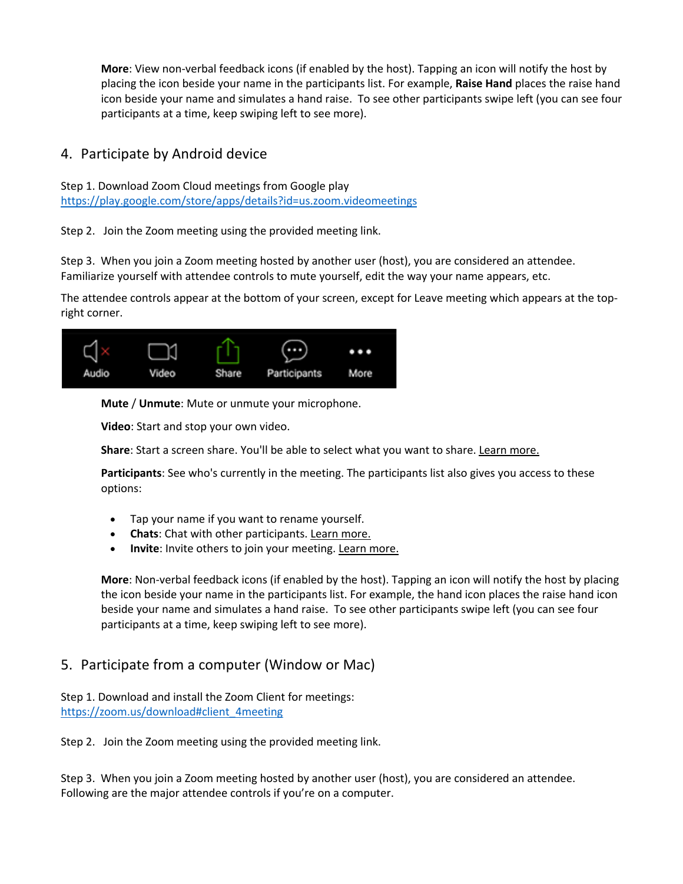**More**: View non-verbal feedback icons (if enabled by the host). Tapping an icon will notify the host by placing the icon beside your name in the participants list. For example, **Raise Hand** places the raise hand icon beside your name and simulates a hand raise. To see other participants swipe left (you can see four participants at a time, keep swiping left to see more).

## 4. Participate by Android device

Step 1. Download Zoom Cloud meetings from Google play https://play.google.com/store/apps/details?id=us.zoom.videomeetings

Step 2. Join the Zoom meeting using the provided meeting link.

Step 3. When you join a Zoom meeting hosted by another user (host), you are considered an attendee. Familiarize yourself with attendee controls to mute yourself, edit the way your name appears, etc.

The attendee controls appear at the bottom of your screen, except for Leave meeting which appears at the topright corner.



**Mute** / **Unmute**: Mute or unmute your microphone.

**Video**: Start and stop your own video.

**Share**: Start a screen share. You'll be able to select what you want to share. Learn more.

**Participants**: See who's currently in the meeting. The participants list also gives you access to these options:

- Tap your name if you want to rename yourself.
- **Chats**: Chat with other participants. Learn more.
- **Invite**: Invite others to join your meeting. Learn more.

**More**: Non-verbal feedback icons (if enabled by the host). Tapping an icon will notify the host by placing the icon beside your name in the participants list. For example, the hand icon places the raise hand icon beside your name and simulates a hand raise. To see other participants swipe left (you can see four participants at a time, keep swiping left to see more).

## 5. Participate from a computer (Window or Mac)

Step 1. Download and install the Zoom Client for meetings: https://zoom.us/download#client\_4meeting

Step 2. Join the Zoom meeting using the provided meeting link.

Step 3. When you join a Zoom meeting hosted by another user (host), you are considered an attendee. Following are the major attendee controls if you're on a computer.